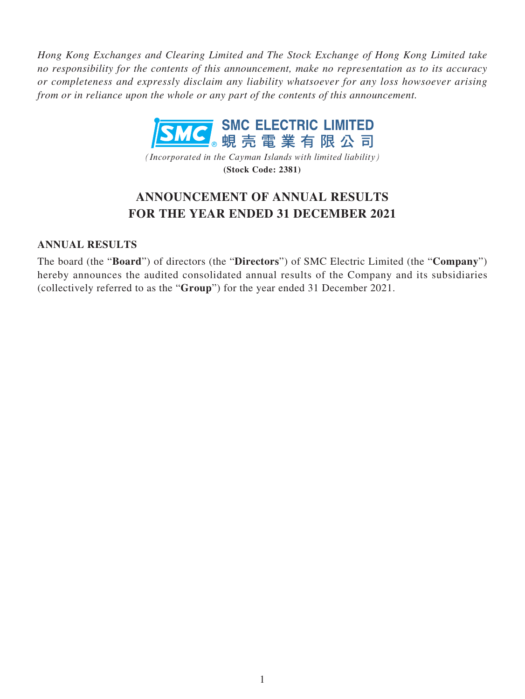*Hong Kong Exchanges and Clearing Limited and The Stock Exchange of Hong Kong Limited take no responsibility for the contents of this announcement, make no representation as to its accuracy or completeness and expressly disclaim any liability whatsoever for any loss howsoever arising from or in reliance upon the whole or any part of the contents of this announcement.*



*(Incorporated in the Cayman Islands with limited liability)* **(Stock Code: 2381)**

# **ANNOUNCEMENT OF ANNUAL RESULTS FOR THE YEAR ENDED 31 DECEMBER 2021**

### **ANNUAL RESULTS**

The board (the "**Board**") of directors (the "**Directors**") of SMC Electric Limited (the "**Company**") hereby announces the audited consolidated annual results of the Company and its subsidiaries (collectively referred to as the "**Group**") for the year ended 31 December 2021.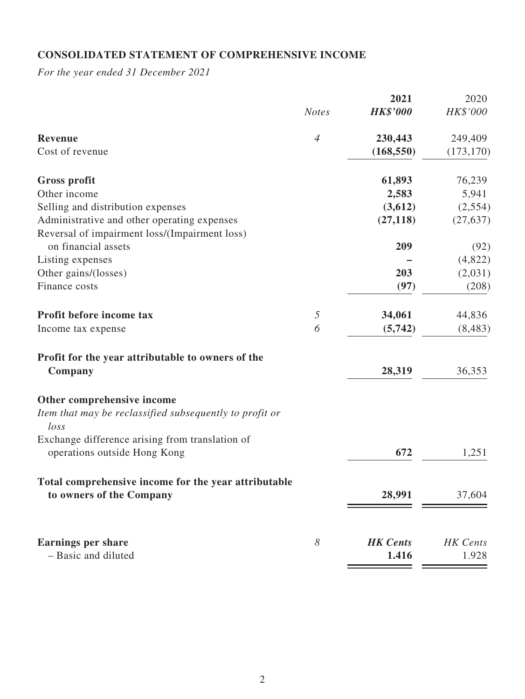# **CONSOLIDATED STATEMENT OF COMPREHENSIVE INCOME**

*For the year ended 31 December 2021*

|                                                                                  |                | 2021            | 2020            |
|----------------------------------------------------------------------------------|----------------|-----------------|-----------------|
|                                                                                  | <b>Notes</b>   | <b>HK\$'000</b> | HK\$'000        |
| Revenue                                                                          | $\overline{4}$ | 230,443         | 249,409         |
| Cost of revenue                                                                  |                | (168, 550)      | (173, 170)      |
| <b>Gross profit</b>                                                              |                | 61,893          | 76,239          |
| Other income                                                                     |                | 2,583           | 5,941           |
| Selling and distribution expenses                                                |                | (3,612)         | (2,554)         |
| Administrative and other operating expenses                                      |                | (27, 118)       | (27, 637)       |
| Reversal of impairment loss/(Impairment loss)                                    |                |                 |                 |
| on financial assets                                                              |                | 209             | (92)            |
| Listing expenses                                                                 |                |                 | (4,822)         |
| Other gains/(losses)                                                             |                | 203             | (2,031)         |
| Finance costs                                                                    |                | (97)            | (208)           |
| Profit before income tax                                                         | $\sqrt{2}$     | 34,061          | 44,836          |
| Income tax expense                                                               | 6              | (5,742)         | (8, 483)        |
| Profit for the year attributable to owners of the<br>Company                     |                | 28,319          | 36,353          |
| Other comprehensive income                                                       |                |                 |                 |
| Item that may be reclassified subsequently to profit or<br>$\log s$              |                |                 |                 |
| Exchange difference arising from translation of<br>operations outside Hong Kong  |                | 672             | 1,251           |
| Total comprehensive income for the year attributable<br>to owners of the Company |                | 28,991          | 37,604          |
| <b>Earnings per share</b>                                                        | 8              | <b>HK</b> Cents | <b>HK</b> Cents |
| - Basic and diluted                                                              |                | 1.416           | 1.928           |
|                                                                                  |                |                 |                 |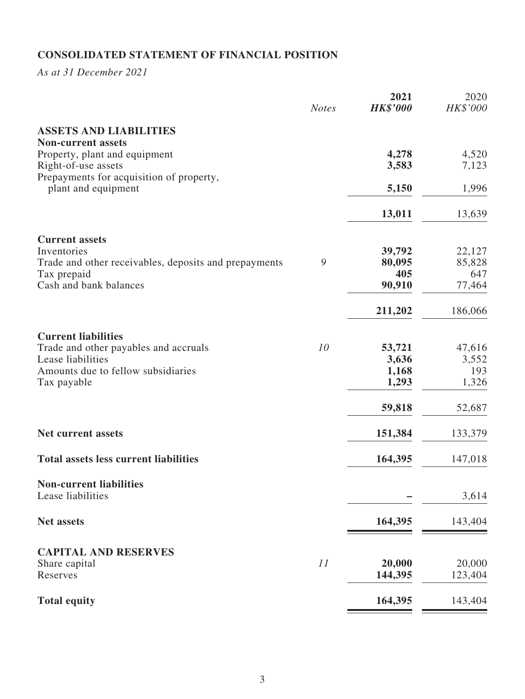# **CONSOLIDATED STATEMENT OF FINANCIAL POSITION**

*As at 31 December 2021*

|                                                                 | <b>Notes</b> | 2021<br><b>HK\$'000</b> | 2020<br>HK\$'000 |
|-----------------------------------------------------------------|--------------|-------------------------|------------------|
| <b>ASSETS AND LIABILITIES</b><br><b>Non-current assets</b>      |              |                         |                  |
| Property, plant and equipment                                   |              | 4,278                   | 4,520            |
| Right-of-use assets                                             |              | 3,583                   | 7,123            |
| Prepayments for acquisition of property,<br>plant and equipment |              | 5,150                   | 1,996            |
|                                                                 |              | 13,011                  | 13,639           |
| <b>Current assets</b>                                           |              |                         |                  |
| Inventories                                                     |              | 39,792                  | 22,127           |
| Trade and other receivables, deposits and prepayments           | 9            | 80,095<br>405           | 85,828           |
| Tax prepaid<br>Cash and bank balances                           |              | 90,910                  | 647<br>77,464    |
|                                                                 |              |                         |                  |
|                                                                 |              | 211,202                 | 186,066          |
| <b>Current liabilities</b>                                      |              |                         |                  |
| Trade and other payables and accruals                           | 10           | 53,721                  | 47,616           |
| Lease liabilities<br>Amounts due to fellow subsidiaries         |              | 3,636<br>1,168          | 3,552<br>193     |
| Tax payable                                                     |              | 1,293                   | 1,326            |
|                                                                 |              |                         |                  |
|                                                                 |              | 59,818                  | 52,687           |
| Net current assets                                              |              | 151,384                 | 133,379          |
| <b>Total assets less current liabilities</b>                    |              | 164,395                 | 147,018          |
| <b>Non-current liabilities</b>                                  |              |                         |                  |
| Lease liabilities                                               |              |                         | 3,614            |
| <b>Net assets</b>                                               |              | 164,395                 | 143,404          |
| <b>CAPITAL AND RESERVES</b>                                     |              |                         |                  |
| Share capital                                                   | 11           | 20,000                  | 20,000           |
| Reserves                                                        |              | 144,395                 | 123,404          |
| <b>Total equity</b>                                             |              | 164,395                 | 143,404          |
|                                                                 |              |                         |                  |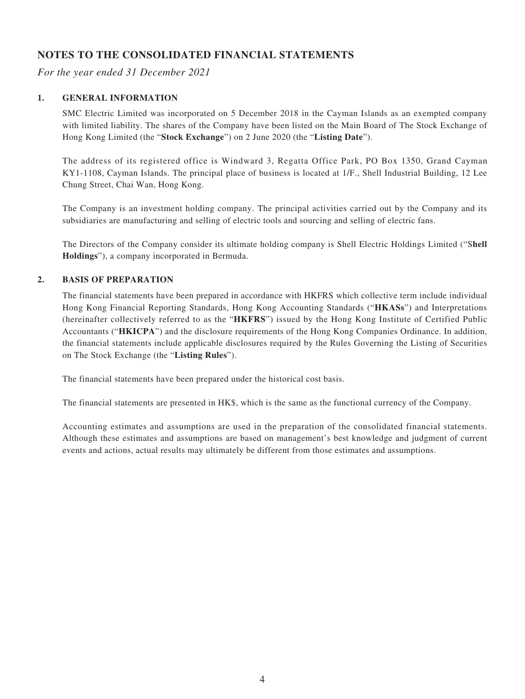# **NOTES TO THE CONSOLIDATED FINANCIAL STATEMENTS**

*For the year ended 31 December 2021*

#### **1. GENERAL INFORMATION**

SMC Electric Limited was incorporated on 5 December 2018 in the Cayman Islands as an exempted company with limited liability. The shares of the Company have been listed on the Main Board of The Stock Exchange of Hong Kong Limited (the "**Stock Exchange**") on 2 June 2020 (the "**Listing Date**").

The address of its registered office is Windward 3, Regatta Office Park, PO Box 1350, Grand Cayman KY1-1108, Cayman Islands. The principal place of business is located at 1/F., Shell Industrial Building, 12 Lee Chung Street, Chai Wan, Hong Kong.

The Company is an investment holding company. The principal activities carried out by the Company and its subsidiaries are manufacturing and selling of electric tools and sourcing and selling of electric fans.

The Directors of the Company consider its ultimate holding company is Shell Electric Holdings Limited ("S**hell Holdings**"), a company incorporated in Bermuda.

#### **2. BASIS OF PREPARATION**

The financial statements have been prepared in accordance with HKFRS which collective term include individual Hong Kong Financial Reporting Standards, Hong Kong Accounting Standards ("**HKASs**") and Interpretations (hereinafter collectively referred to as the "**HKFRS**") issued by the Hong Kong Institute of Certified Public Accountants ("**HKICPA**") and the disclosure requirements of the Hong Kong Companies Ordinance. In addition, the financial statements include applicable disclosures required by the Rules Governing the Listing of Securities on The Stock Exchange (the "**Listing Rules**").

The financial statements have been prepared under the historical cost basis.

The financial statements are presented in HK\$, which is the same as the functional currency of the Company.

Accounting estimates and assumptions are used in the preparation of the consolidated financial statements. Although these estimates and assumptions are based on management's best knowledge and judgment of current events and actions, actual results may ultimately be different from those estimates and assumptions.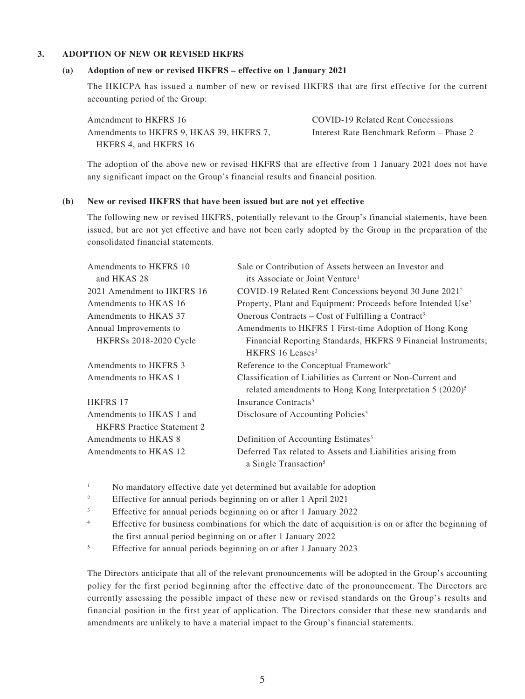#### **3. ADOPTION OF NEW OR REVISED HKFRS**

#### **(a) Adoption of new or revised HKFRS – effective on 1 January 2021**

The HKICPA has issued a number of new or revised HKFRS that are first effective for the current accounting period of the Group:

Amendment to HKFRS 16 COVID-19 Related Rent Concessions Amendments to HKFRS 9, HKAS 39, HKFRS 7, HKFRS 4, and HKFRS 16

Interest Rate Benchmark Reform – Phase 2

The adoption of the above new or revised HKFRS that are effective from 1 January 2021 does not have any significant impact on the Group's financial results and financial position.

#### **(b) New or revised HKFRS that have been issued but are not yet effective**

The following new or revised HKFRS, potentially relevant to the Group's financial statements, have been issued, but are not yet effective and have not been early adopted by the Group in the preparation of the consolidated financial statements.

| Amendments to HKFRS 10                                        | Sale or Contribution of Assets between an Investor and                                                                     |
|---------------------------------------------------------------|----------------------------------------------------------------------------------------------------------------------------|
| and HKAS 28                                                   | its Associate or Joint Venture <sup>1</sup>                                                                                |
| 2021 Amendment to HKFRS 16                                    | COVID-19 Related Rent Concessions beyond 30 June 2021 <sup>2</sup>                                                         |
| Amendments to HKAS 16                                         | Property, Plant and Equipment: Proceeds before Intended Use <sup>3</sup>                                                   |
| Amendments to HKAS 37                                         | Onerous Contracts – Cost of Fulfilling a Contract <sup>3</sup>                                                             |
| Annual Improvements to                                        | Amendments to HKFRS 1 First-time Adoption of Hong Kong                                                                     |
| <b>HKFRSs 2018-2020 Cycle</b>                                 | Financial Reporting Standards, HKFRS 9 Financial Instruments;<br>HKFRS 16 Leases <sup>3</sup>                              |
| Amendments to HKFRS 3                                         | Reference to the Conceptual Framework <sup>4</sup>                                                                         |
| Amendments to HKAS 1                                          | Classification of Liabilities as Current or Non-Current and<br>related amendments to Hong Kong Interpretation $5 (2020)^5$ |
| <b>HKFRS 17</b>                                               | Insurance Contracts <sup>5</sup>                                                                                           |
| Amendments to HKAS 1 and<br><b>HKFRS</b> Practice Statement 2 | Disclosure of Accounting Policies <sup>5</sup>                                                                             |
| Amendments to HKAS 8                                          | Definition of Accounting Estimates <sup>5</sup>                                                                            |
| Amendments to HKAS 12                                         | Deferred Tax related to Assets and Liabilities arising from<br>a Single Transaction <sup>5</sup>                           |

<sup>1</sup> No mandatory effective date yet determined but available for adoption

<sup>2</sup> Effective for annual periods beginning on or after 1 April 2021

<sup>3</sup> Effective for annual periods beginning on or after 1 January 2022

- <sup>4</sup> Effective for business combinations for which the date of acquisition is on or after the beginning of the first annual period beginning on or after 1 January 2022
- <sup>5</sup> Effective for annual periods beginning on or after 1 January 2023

The Directors anticipate that all of the relevant pronouncements will be adopted in the Group's accounting policy for the first period beginning after the effective date of the pronouncement. The Directors are currently assessing the possible impact of these new or revised standards on the Group's results and financial position in the first year of application. The Directors consider that these new standards and amendments are unlikely to have a material impact to the Group's financial statements.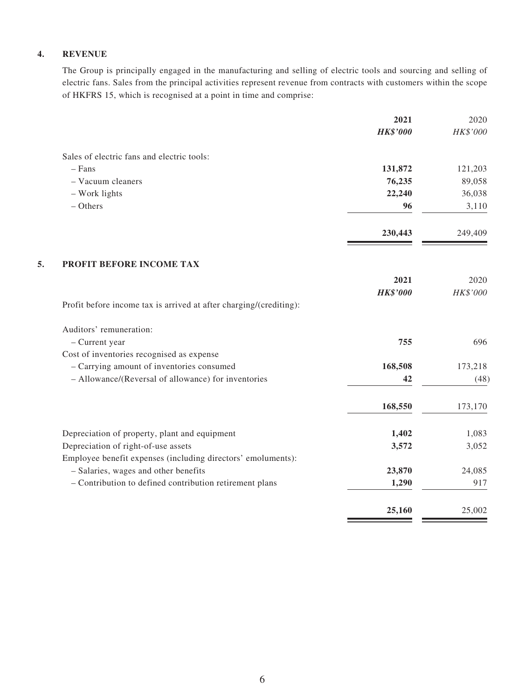#### **4. REVENUE**

The Group is principally engaged in the manufacturing and selling of electric tools and sourcing and selling of electric fans. Sales from the principal activities represent revenue from contracts with customers within the scope of HKFRS 15, which is recognised at a point in time and comprise:

|                                                                    | 2021            | 2020     |
|--------------------------------------------------------------------|-----------------|----------|
|                                                                    | <b>HK\$'000</b> | HK\$'000 |
| Sales of electric fans and electric tools:                         |                 |          |
| $-$ Fans                                                           | 131,872         | 121,203  |
| - Vacuum cleaners                                                  | 76,235          | 89,058   |
| - Work lights                                                      | 22,240          | 36,038   |
| $-$ Others                                                         | 96              | 3,110    |
|                                                                    | 230,443         | 249,409  |
| PROFIT BEFORE INCOME TAX                                           |                 |          |
|                                                                    | 2021            | 2020     |
|                                                                    | <b>HK\$'000</b> | HK\$'000 |
| Profit before income tax is arrived at after charging/(crediting): |                 |          |
| Auditors' remuneration:                                            |                 |          |
| - Current year                                                     | 755             | 696      |
| Cost of inventories recognised as expense                          |                 |          |
| - Carrying amount of inventories consumed                          | 168,508         | 173,218  |
| - Allowance/(Reversal of allowance) for inventories                | 42              | (48)     |
|                                                                    | 168,550         | 173,170  |
| Depreciation of property, plant and equipment                      | 1,402           | 1,083    |
| Depreciation of right-of-use assets                                | 3,572           | 3,052    |
| Employee benefit expenses (including directors' emoluments):       |                 |          |
| - Salaries, wages and other benefits                               | 23,870          | 24,085   |
| - Contribution to defined contribution retirement plans            | 1,290           | 917      |
|                                                                    | 25,160          | 25,002   |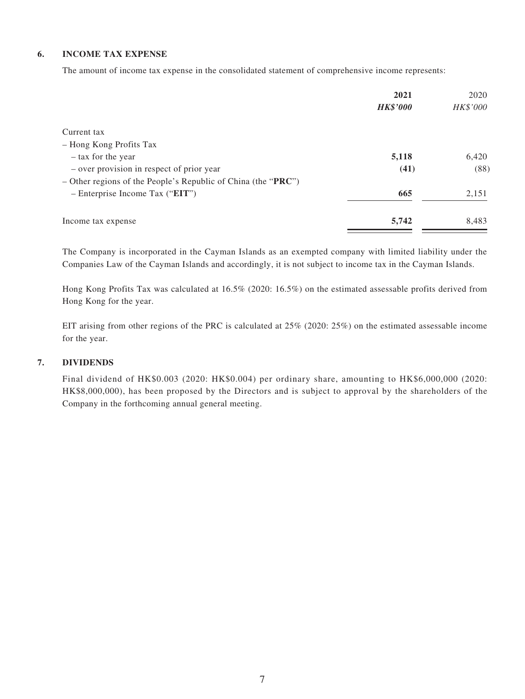#### **6. INCOME TAX EXPENSE**

The amount of income tax expense in the consolidated statement of comprehensive income represents:

|                                                                 | 2021            | 2020     |
|-----------------------------------------------------------------|-----------------|----------|
|                                                                 | <b>HK\$'000</b> | HK\$'000 |
| Current tax                                                     |                 |          |
| - Hong Kong Profits Tax                                         |                 |          |
| - tax for the year                                              | 5,118           | 6,420    |
| - over provision in respect of prior year                       | (41)            | (88)     |
| $-$ Other regions of the People's Republic of China (the "PRC") |                 |          |
| $-$ Enterprise Income Tax ("EIT")                               | 665             | 2,151    |
| Income tax expense                                              | 5,742           | 8,483    |

The Company is incorporated in the Cayman Islands as an exempted company with limited liability under the Companies Law of the Cayman Islands and accordingly, it is not subject to income tax in the Cayman Islands.

Hong Kong Profits Tax was calculated at 16.5% (2020: 16.5%) on the estimated assessable profits derived from Hong Kong for the year.

EIT arising from other regions of the PRC is calculated at 25% (2020: 25%) on the estimated assessable income for the year.

#### **7. DIVIDENDS**

Final dividend of HK\$0.003 (2020: HK\$0.004) per ordinary share, amounting to HK\$6,000,000 (2020: HK\$8,000,000), has been proposed by the Directors and is subject to approval by the shareholders of the Company in the forthcoming annual general meeting.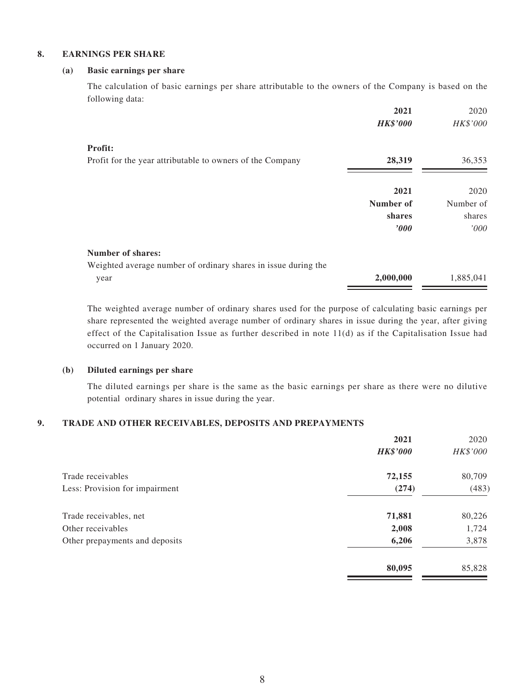#### **8. EARNINGS PER SHARE**

#### **(a) Basic earnings per share**

The calculation of basic earnings per share attributable to the owners of the Company is based on the following data:

|                                                                | 2021            | 2020      |
|----------------------------------------------------------------|-----------------|-----------|
|                                                                | <b>HK\$'000</b> | HK\$'000  |
| Profit:                                                        |                 |           |
| Profit for the year attributable to owners of the Company      | 28,319          | 36,353    |
|                                                                | 2021            | 2020      |
|                                                                | Number of       | Number of |
|                                                                |                 |           |
|                                                                | shares          | shares    |
|                                                                | $\bm{v}$        | '000      |
| <b>Number of shares:</b>                                       |                 |           |
| Weighted average number of ordinary shares in issue during the |                 |           |
| year                                                           | 2,000,000       | 1,885,041 |

The weighted average number of ordinary shares used for the purpose of calculating basic earnings per share represented the weighted average number of ordinary shares in issue during the year, after giving effect of the Capitalisation Issue as further described in note 11(d) as if the Capitalisation Issue had occurred on 1 January 2020.

#### **(b) Diluted earnings per share**

The diluted earnings per share is the same as the basic earnings per share as there were no dilutive potential ordinary shares in issue during the year.

#### **9. TRADE AND OTHER RECEIVABLES, DEPOSITS AND PREPAYMENTS**

|                                | 2021            | 2020     |
|--------------------------------|-----------------|----------|
|                                | <b>HK\$'000</b> | HK\$'000 |
| Trade receivables              | 72,155          | 80,709   |
| Less: Provision for impairment | (274)           | (483)    |
| Trade receivables, net         | 71,881          | 80,226   |
| Other receivables              | 2,008           | 1,724    |
| Other prepayments and deposits | 6,206           | 3,878    |
|                                | 80,095          | 85,828   |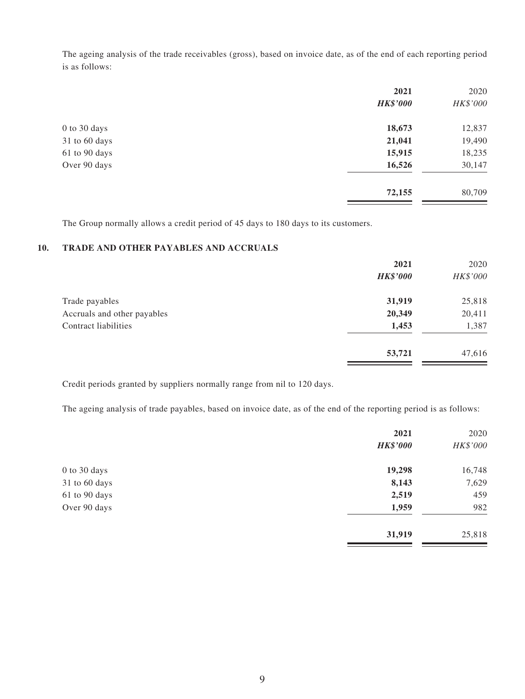The ageing analysis of the trade receivables (gross), based on invoice date, as of the end of each reporting period is as follows:

|               | 2021            | 2020     |
|---------------|-----------------|----------|
|               | <b>HK\$'000</b> | HK\$'000 |
| 0 to 30 days  | 18,673          | 12,837   |
| 31 to 60 days | 21,041          | 19,490   |
| 61 to 90 days | 15,915          | 18,235   |
| Over 90 days  | 16,526          | 30,147   |
|               | 72,155          | 80,709   |
|               |                 |          |

The Group normally allows a credit period of 45 days to 180 days to its customers.

#### **10. TRADE AND OTHER PAYABLES AND ACCRUALS**

|                             | 2021            | 2020     |
|-----------------------------|-----------------|----------|
|                             | <b>HK\$'000</b> | HK\$'000 |
| Trade payables              | 31,919          | 25,818   |
| Accruals and other payables | 20,349          | 20,411   |
| Contract liabilities        | 1,453           | 1,387    |
|                             | 53,721          | 47,616   |

Credit periods granted by suppliers normally range from nil to 120 days.

The ageing analysis of trade payables, based on invoice date, as of the end of the reporting period is as follows:

|               | 2021            | 2020     |
|---------------|-----------------|----------|
|               | <b>HK\$'000</b> | HK\$'000 |
| 0 to 30 days  | 19,298          | 16,748   |
| 31 to 60 days | 8,143           | 7,629    |
| 61 to 90 days | 2,519           | 459      |
| Over 90 days  | 1,959           | 982      |
|               | 31,919          | 25,818   |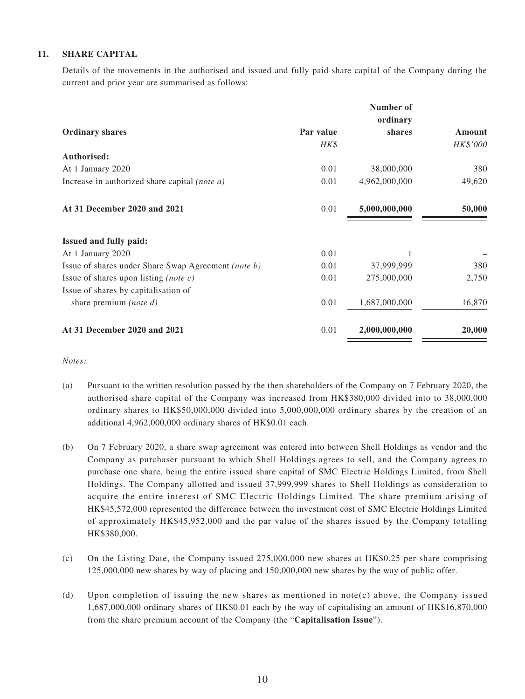#### **11. SHARE CAPITAL**

Details of the movements in the authorised and issued and fully paid share capital of the Company during the current and prior year are summarised as follows:

|                                                      |           | Number of     |          |
|------------------------------------------------------|-----------|---------------|----------|
|                                                      |           | ordinary      |          |
| <b>Ordinary shares</b>                               | Par value | shares        | Amount   |
|                                                      | HK\$      |               | HK\$'000 |
| Authorised:                                          |           |               |          |
| At 1 January 2020                                    | 0.01      | 38,000,000    | 380      |
| Increase in authorized share capital <i>(note a)</i> | 0.01      | 4,962,000,000 | 49,620   |
| At 31 December 2020 and 2021                         | 0.01      | 5,000,000,000 | 50,000   |
| <b>Issued and fully paid:</b>                        |           |               |          |
| At 1 January 2020                                    | 0.01      |               |          |
| Issue of shares under Share Swap Agreement (note b)  | 0.01      | 37,999,999    | 380      |
| Issue of shares upon listing <i>(note c)</i>         | 0.01      | 275,000,000   | 2,750    |
| Issue of shares by capitalisation of                 |           |               |          |
| share premium <i>(note d)</i>                        | 0.01      | 1,687,000,000 | 16,870   |
| At 31 December 2020 and 2021                         | 0.01      | 2,000,000,000 | 20,000   |

*Notes:*

- (a) Pursuant to the written resolution passed by the then shareholders of the Company on 7 February 2020, the authorised share capital of the Company was increased from HK\$380,000 divided into to 38,000,000 ordinary shares to HK\$50,000,000 divided into 5,000,000,000 ordinary shares by the creation of an additional 4,962,000,000 ordinary shares of HK\$0.01 each.
- (b) On 7 February 2020, a share swap agreement was entered into between Shell Holdings as vendor and the Company as purchaser pursuant to which Shell Holdings agrees to sell, and the Company agrees to purchase one share, being the entire issued share capital of SMC Electric Holdings Limited, from Shell Holdings. The Company allotted and issued 37,999,999 shares to Shell Holdings as consideration to acquire the entire interest of SMC Electric Holdings Limited. The share premium arising of HK\$45,572,000 represented the difference between the investment cost of SMC Electric Holdings Limited of approximately HK\$45,952,000 and the par value of the shares issued by the Company totalling HK\$380,000.
- (c) On the Listing Date, the Company issued 275,000,000 new shares at HK\$0.25 per share comprising 125,000,000 new shares by way of placing and 150,000,000 new shares by the way of public offer.
- (d) Upon completion of issuing the new shares as mentioned in note(c) above, the Company issued 1,687,000,000 ordinary shares of HK\$0.01 each by the way of capitalising an amount of HK\$16,870,000 from the share premium account of the Company (the "**Capitalisation Issue**").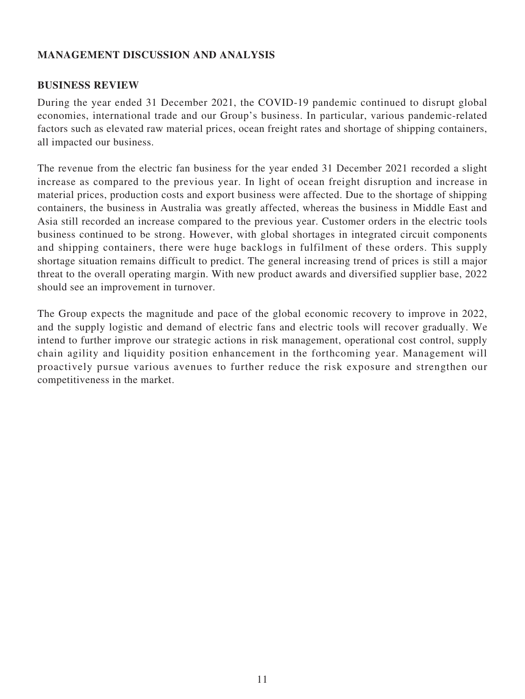# **MANAGEMENT DISCUSSION AND ANALYSIS**

### **BUSINESS REVIEW**

During the year ended 31 December 2021, the COVID-19 pandemic continued to disrupt global economies, international trade and our Group's business. In particular, various pandemic-related factors such as elevated raw material prices, ocean freight rates and shortage of shipping containers, all impacted our business.

The revenue from the electric fan business for the year ended 31 December 2021 recorded a slight increase as compared to the previous year. In light of ocean freight disruption and increase in material prices, production costs and export business were affected. Due to the shortage of shipping containers, the business in Australia was greatly affected, whereas the business in Middle East and Asia still recorded an increase compared to the previous year. Customer orders in the electric tools business continued to be strong. However, with global shortages in integrated circuit components and shipping containers, there were huge backlogs in fulfilment of these orders. This supply shortage situation remains difficult to predict. The general increasing trend of prices is still a major threat to the overall operating margin. With new product awards and diversified supplier base, 2022 should see an improvement in turnover.

The Group expects the magnitude and pace of the global economic recovery to improve in 2022, and the supply logistic and demand of electric fans and electric tools will recover gradually. We intend to further improve our strategic actions in risk management, operational cost control, supply chain agility and liquidity position enhancement in the forthcoming year. Management will proactively pursue various avenues to further reduce the risk exposure and strengthen our competitiveness in the market.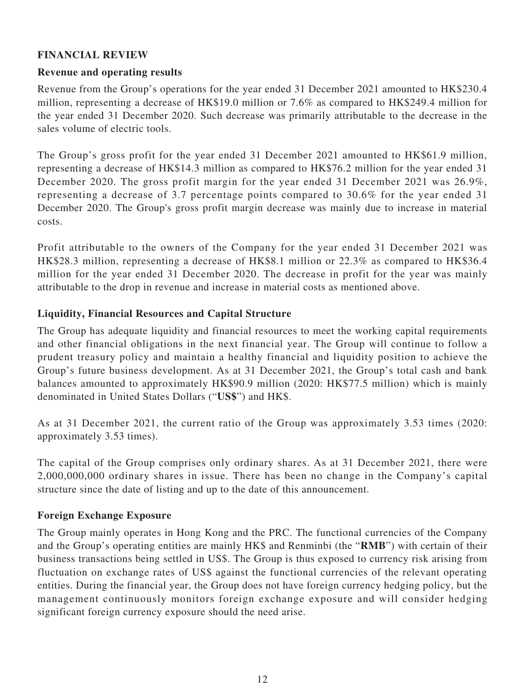# **FINANCIAL REVIEW**

### **Revenue and operating results**

Revenue from the Group's operations for the year ended 31 December 2021 amounted to HK\$230.4 million, representing a decrease of HK\$19.0 million or 7.6% as compared to HK\$249.4 million for the year ended 31 December 2020. Such decrease was primarily attributable to the decrease in the sales volume of electric tools.

The Group's gross profit for the year ended 31 December 2021 amounted to HK\$61.9 million, representing a decrease of HK\$14.3 million as compared to HK\$76.2 million for the year ended 31 December 2020. The gross profit margin for the year ended 31 December 2021 was 26.9%, representing a decrease of 3.7 percentage points compared to 30.6% for the year ended 31 December 2020. The Group's gross profit margin decrease was mainly due to increase in material costs.

Profit attributable to the owners of the Company for the year ended 31 December 2021 was HK\$28.3 million, representing a decrease of HK\$8.1 million or 22.3% as compared to HK\$36.4 million for the year ended 31 December 2020. The decrease in profit for the year was mainly attributable to the drop in revenue and increase in material costs as mentioned above.

### **Liquidity, Financial Resources and Capital Structure**

The Group has adequate liquidity and financial resources to meet the working capital requirements and other financial obligations in the next financial year. The Group will continue to follow a prudent treasury policy and maintain a healthy financial and liquidity position to achieve the Group's future business development. As at 31 December 2021, the Group's total cash and bank balances amounted to approximately HK\$90.9 million (2020: HK\$77.5 million) which is mainly denominated in United States Dollars ("**US\$**") and HK\$.

As at 31 December 2021, the current ratio of the Group was approximately 3.53 times (2020: approximately 3.53 times).

The capital of the Group comprises only ordinary shares. As at 31 December 2021, there were 2,000,000,000 ordinary shares in issue. There has been no change in the Company's capital structure since the date of listing and up to the date of this announcement.

### **Foreign Exchange Exposure**

The Group mainly operates in Hong Kong and the PRC. The functional currencies of the Company and the Group's operating entities are mainly HK\$ and Renminbi (the "**RMB**") with certain of their business transactions being settled in US\$. The Group is thus exposed to currency risk arising from fluctuation on exchange rates of US\$ against the functional currencies of the relevant operating entities. During the financial year, the Group does not have foreign currency hedging policy, but the management continuously monitors foreign exchange exposure and will consider hedging significant foreign currency exposure should the need arise.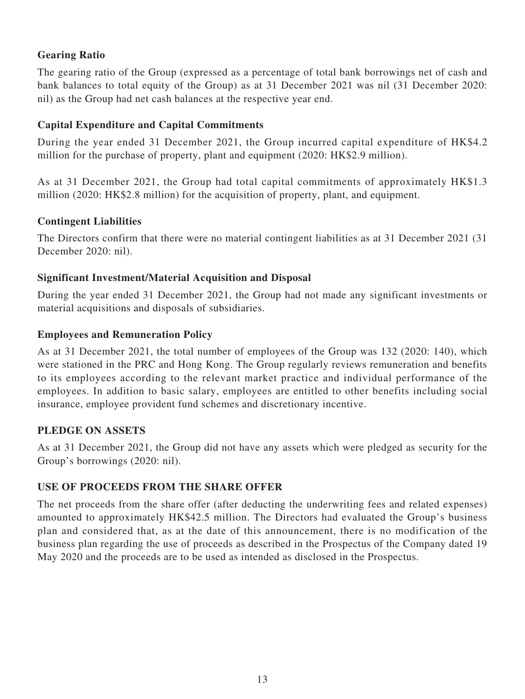# **Gearing Ratio**

The gearing ratio of the Group (expressed as a percentage of total bank borrowings net of cash and bank balances to total equity of the Group) as at 31 December 2021 was nil (31 December 2020: nil) as the Group had net cash balances at the respective year end.

### **Capital Expenditure and Capital Commitments**

During the year ended 31 December 2021, the Group incurred capital expenditure of HK\$4.2 million for the purchase of property, plant and equipment (2020: HK\$2.9 million).

As at 31 December 2021, the Group had total capital commitments of approximately HK\$1.3 million (2020: HK\$2.8 million) for the acquisition of property, plant, and equipment.

# **Contingent Liabilities**

The Directors confirm that there were no material contingent liabilities as at 31 December 2021 (31 December 2020: nil).

# **Significant Investment/Material Acquisition and Disposal**

During the year ended 31 December 2021, the Group had not made any significant investments or material acquisitions and disposals of subsidiaries.

### **Employees and Remuneration Policy**

As at 31 December 2021, the total number of employees of the Group was 132 (2020: 140), which were stationed in the PRC and Hong Kong. The Group regularly reviews remuneration and benefits to its employees according to the relevant market practice and individual performance of the employees. In addition to basic salary, employees are entitled to other benefits including social insurance, employee provident fund schemes and discretionary incentive.

### **PLEDGE ON ASSETS**

As at 31 December 2021, the Group did not have any assets which were pledged as security for the Group's borrowings (2020: nil).

# **USE OF PROCEEDS FROM THE SHARE OFFER**

The net proceeds from the share offer (after deducting the underwriting fees and related expenses) amounted to approximately HK\$42.5 million. The Directors had evaluated the Group's business plan and considered that, as at the date of this announcement, there is no modification of the business plan regarding the use of proceeds as described in the Prospectus of the Company dated 19 May 2020 and the proceeds are to be used as intended as disclosed in the Prospectus.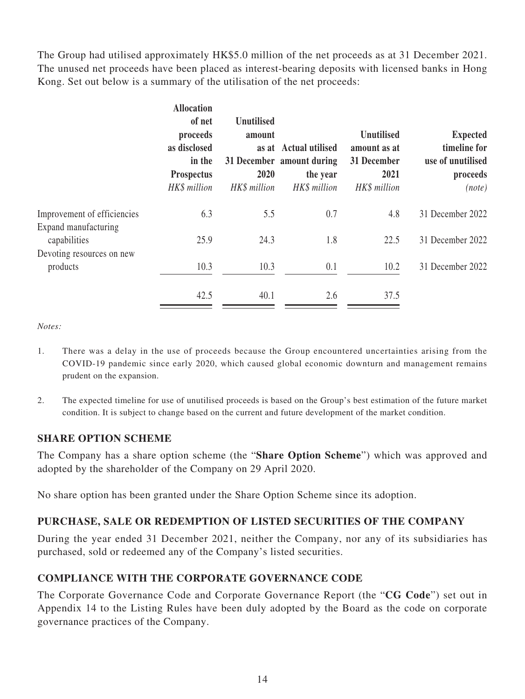The Group had utilised approximately HK\$5.0 million of the net proceeds as at 31 December 2021. The unused net proceeds have been placed as interest-bearing deposits with licensed banks in Hong Kong. Set out below is a summary of the utilisation of the net proceeds:

|                                       | <b>Allocation</b><br>of net<br>proceeds<br>as disclosed<br>in the<br><b>Prospectus</b><br>HK\$ million | Unutilised<br>amount<br>2020<br>HK\$ million | as at Actual utilised<br>31 December amount during<br>the year<br>HK\$ million | <b>Unutilised</b><br>amount as at<br>31 December<br>2021<br>HK\$ million | <b>Expected</b><br>timeline for<br>use of unutilised<br>proceeds<br>(note) |
|---------------------------------------|--------------------------------------------------------------------------------------------------------|----------------------------------------------|--------------------------------------------------------------------------------|--------------------------------------------------------------------------|----------------------------------------------------------------------------|
| Improvement of efficiencies           | 6.3                                                                                                    | 5.5                                          | 0.7                                                                            | 4.8                                                                      | 31 December 2022                                                           |
| Expand manufacturing<br>capabilities  | 25.9                                                                                                   | 24.3                                         | 1.8                                                                            | 22.5                                                                     | 31 December 2022                                                           |
| Devoting resources on new<br>products | 10.3                                                                                                   | 10.3                                         | 0.1                                                                            | 10.2                                                                     | 31 December 2022                                                           |
|                                       | 42.5                                                                                                   | 40.1                                         | 2.6                                                                            | 37.5                                                                     |                                                                            |

*Notes:*

- 1. There was a delay in the use of proceeds because the Group encountered uncertainties arising from the COVID-19 pandemic since early 2020, which caused global economic downturn and management remains prudent on the expansion.
- 2. The expected timeline for use of unutilised proceeds is based on the Group's best estimation of the future market condition. It is subject to change based on the current and future development of the market condition.

# **SHARE OPTION SCHEME**

The Company has a share option scheme (the "**Share Option Scheme**") which was approved and adopted by the shareholder of the Company on 29 April 2020.

No share option has been granted under the Share Option Scheme since its adoption.

### **PURCHASE, SALE OR REDEMPTION OF LISTED SECURITIES OF THE COMPANY**

During the year ended 31 December 2021, neither the Company, nor any of its subsidiaries has purchased, sold or redeemed any of the Company's listed securities.

### **COMPLIANCE WITH THE CORPORATE GOVERNANCE CODE**

The Corporate Governance Code and Corporate Governance Report (the "**CG Code**") set out in Appendix 14 to the Listing Rules have been duly adopted by the Board as the code on corporate governance practices of the Company.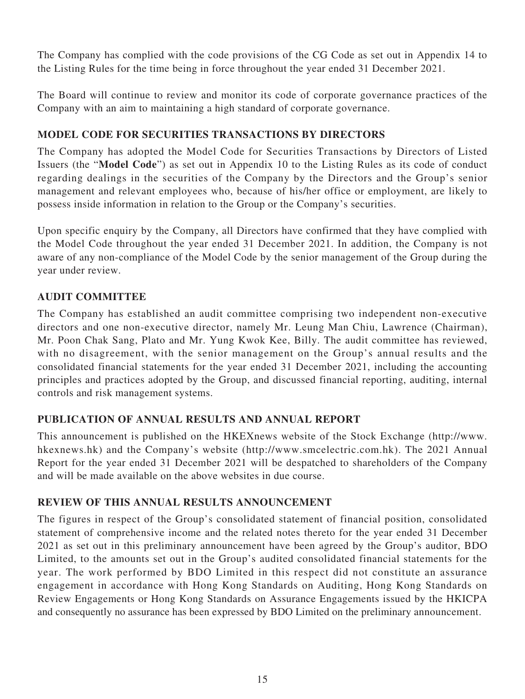The Company has complied with the code provisions of the CG Code as set out in Appendix 14 to the Listing Rules for the time being in force throughout the year ended 31 December 2021.

The Board will continue to review and monitor its code of corporate governance practices of the Company with an aim to maintaining a high standard of corporate governance.

# **MODEL CODE FOR SECURITIES TRANSACTIONS BY DIRECTORS**

The Company has adopted the Model Code for Securities Transactions by Directors of Listed Issuers (the "**Model Code**") as set out in Appendix 10 to the Listing Rules as its code of conduct regarding dealings in the securities of the Company by the Directors and the Group's senior management and relevant employees who, because of his/her office or employment, are likely to possess inside information in relation to the Group or the Company's securities.

Upon specific enquiry by the Company, all Directors have confirmed that they have complied with the Model Code throughout the year ended 31 December 2021. In addition, the Company is not aware of any non-compliance of the Model Code by the senior management of the Group during the year under review.

# **AUDIT COMMITTEE**

The Company has established an audit committee comprising two independent non-executive directors and one non-executive director, namely Mr. Leung Man Chiu, Lawrence (Chairman), Mr. Poon Chak Sang, Plato and Mr. Yung Kwok Kee, Billy. The audit committee has reviewed, with no disagreement, with the senior management on the Group's annual results and the consolidated financial statements for the year ended 31 December 2021, including the accounting principles and practices adopted by the Group, and discussed financial reporting, auditing, internal controls and risk management systems.

### **PUBLICATION OF ANNUAL RESULTS AND ANNUAL REPORT**

This announcement is published on the HKEXnews website of the Stock Exchange (http://www. hkexnews.hk) and the Company's website (http://www.smcelectric.com.hk). The 2021 Annual Report for the year ended 31 December 2021 will be despatched to shareholders of the Company and will be made available on the above websites in due course.

### **REVIEW OF THIS ANNUAL RESULTS ANNOUNCEMENT**

The figures in respect of the Group's consolidated statement of financial position, consolidated statement of comprehensive income and the related notes thereto for the year ended 31 December 2021 as set out in this preliminary announcement have been agreed by the Group's auditor, BDO Limited, to the amounts set out in the Group's audited consolidated financial statements for the year. The work performed by BDO Limited in this respect did not constitute an assurance engagement in accordance with Hong Kong Standards on Auditing, Hong Kong Standards on Review Engagements or Hong Kong Standards on Assurance Engagements issued by the HKICPA and consequently no assurance has been expressed by BDO Limited on the preliminary announcement.